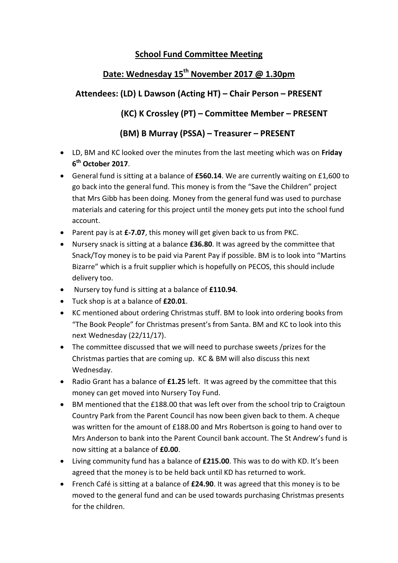## School Fund Committee Meeting

## Date: Wednesday 15<sup>th</sup> November 2017 @ 1.30pm

## Attendees: (LD) L Dawson (Acting HT) – Chair Person – PRESENT

(KC) K Crossley (PT) – Committee Member – PRESENT

## (BM) B Murray (PSSA) – Treasurer – PRESENT

- LD, BM and KC looked over the minutes from the last meeting which was on Friday 6<sup>th</sup> October 2017.
- General fund is sitting at a balance of £560.14. We are currently waiting on £1,600 to go back into the general fund. This money is from the "Save the Children" project that Mrs Gibb has been doing. Money from the general fund was used to purchase materials and catering for this project until the money gets put into the school fund account.
- Parent pay is at £-7.07, this money will get given back to us from PKC.
- Nursery snack is sitting at a balance £36.80. It was agreed by the committee that Snack/Toy money is to be paid via Parent Pay if possible. BM is to look into "Martins Bizarre" which is a fruit supplier which is hopefully on PECOS, this should include delivery too.
- Nursery toy fund is sitting at a balance of £110.94.
- Tuck shop is at a balance of **£20.01**.
- KC mentioned about ordering Christmas stuff. BM to look into ordering books from "The Book People" for Christmas present's from Santa. BM and KC to look into this next Wednesday (22/11/17).
- The committee discussed that we will need to purchase sweets /prizes for the Christmas parties that are coming up. KC & BM will also discuss this next Wednesday.
- Radio Grant has a balance of £1.25 left. It was agreed by the committee that this money can get moved into Nursery Toy Fund.
- BM mentioned that the £188.00 that was left over from the school trip to Craigtoun Country Park from the Parent Council has now been given back to them. A cheque was written for the amount of £188.00 and Mrs Robertson is going to hand over to Mrs Anderson to bank into the Parent Council bank account. The St Andrew's fund is now sitting at a balance of £0.00.
- Living community fund has a balance of £215.00. This was to do with KD. It's been agreed that the money is to be held back until KD has returned to work.
- French Café is sitting at a balance of £24.90. It was agreed that this money is to be moved to the general fund and can be used towards purchasing Christmas presents for the children.